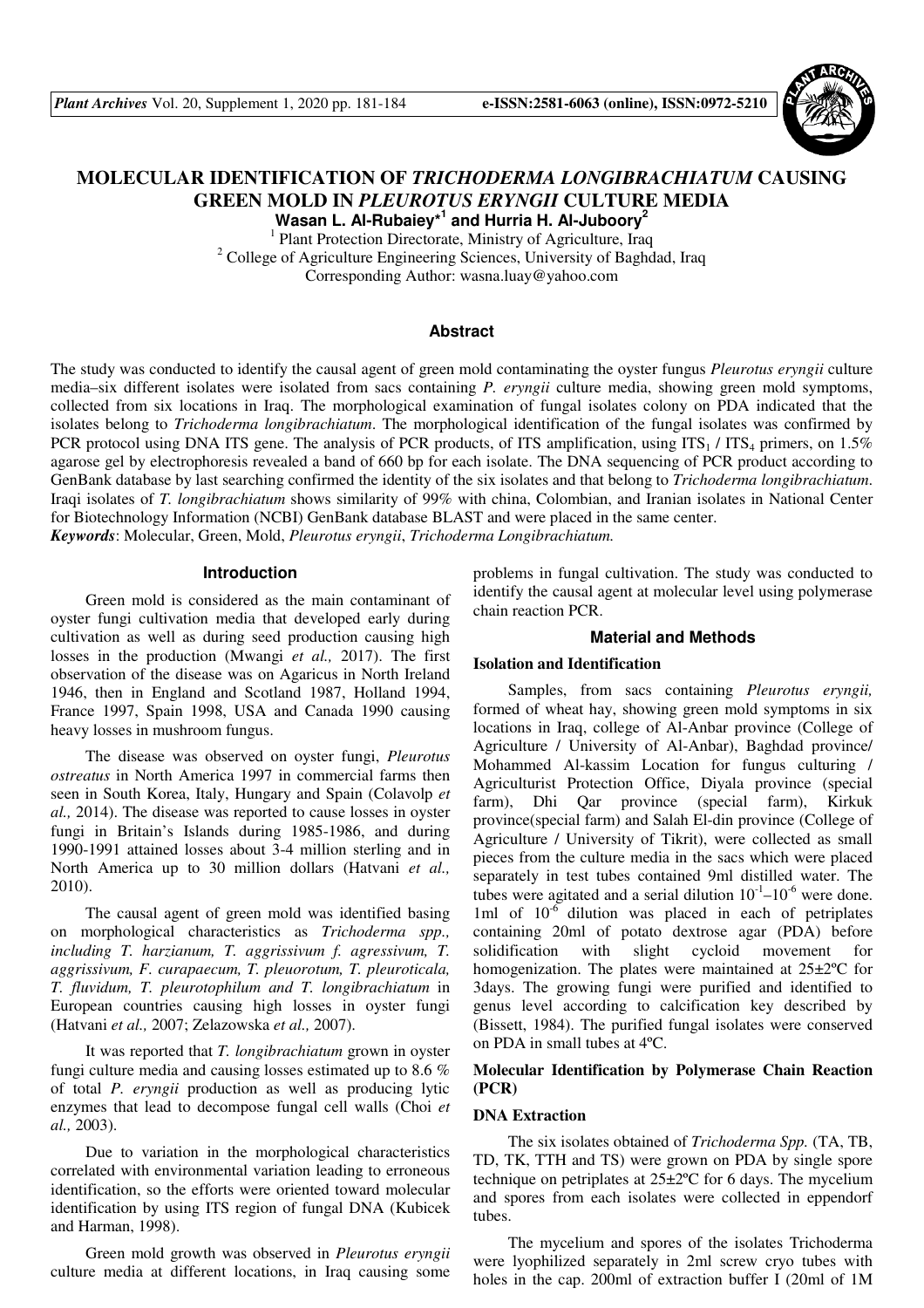

# **MOLECULAR IDENTIFICATION OF** *TRICHODERMA LONGIBRACHIATUM* **CAUSING GREEN MOLD IN** *PLEUROTUS ERYNGII* **CULTURE MEDIA Wasan L. Al-Rubaiey\*<sup>1</sup> and Hurria H. Al-Juboory<sup>2</sup>**

<sup>1</sup> Plant Protection Directorate, Ministry of Agriculture, Iraq <sup>2</sup> College of Agriculture Engineering Sciences, University of Baghdad, Iraq Corresponding Author: wasna.luay@yahoo.com

# **Abstract**

The study was conducted to identify the causal agent of green mold contaminating the oyster fungus *Pleurotus eryngii* culture media–six different isolates were isolated from sacs containing *P. eryngii* culture media, showing green mold symptoms, collected from six locations in Iraq. The morphological examination of fungal isolates colony on PDA indicated that the isolates belong to *Trichoderma longibrachiatum*. The morphological identification of the fungal isolates was confirmed by PCR protocol using DNA ITS gene. The analysis of PCR products, of ITS amplification, using  $ITS_1 / ITS_4$  primers, on 1.5% agarose gel by electrophoresis revealed a band of 660 bp for each isolate. The DNA sequencing of PCR product according to GenBank database by last searching confirmed the identity of the six isolates and that belong to *Trichoderma longibrachiatum*. Iraqi isolates of *T. longibrachiatum* shows similarity of 99% with china, Colombian, and Iranian isolates in National Center for Biotechnology Information (NCBI) GenBank database BLAST and were placed in the same center. *Keywords*: Molecular, Green, Mold, *Pleurotus eryngii*, *Trichoderma Longibrachiatum.* 

# **Introduction**

Green mold is considered as the main contaminant of oyster fungi cultivation media that developed early during cultivation as well as during seed production causing high losses in the production (Mwangi *et al.,* 2017). The first observation of the disease was on Agaricus in North Ireland 1946, then in England and Scotland 1987, Holland 1994, France 1997, Spain 1998, USA and Canada 1990 causing heavy losses in mushroom fungus.

The disease was observed on oyster fungi, *Pleurotus ostreatus* in North America 1997 in commercial farms then seen in South Korea, Italy, Hungary and Spain (Colavolp *et al.,* 2014). The disease was reported to cause losses in oyster fungi in Britain's Islands during 1985-1986, and during 1990-1991 attained losses about 3-4 million sterling and in North America up to 30 million dollars (Hatvani *et al.,* 2010).

The causal agent of green mold was identified basing on morphological characteristics as *Trichoderma spp., including T. harzianum, T. aggrissivum f. agressivum, T. aggrissivum, F. curapaecum, T. pleuorotum, T. pleuroticala, T. fluvidum, T. pleurotophilum and T. longibrachiatum* in European countries causing high losses in oyster fungi (Hatvani *et al.,* 2007; Zelazowska *et al.,* 2007).

It was reported that *T. longibrachiatum* grown in oyster fungi culture media and causing losses estimated up to 8.6 % of total *P. eryngii* production as well as producing lytic enzymes that lead to decompose fungal cell walls (Choi *et al.,* 2003).

Due to variation in the morphological characteristics correlated with environmental variation leading to erroneous identification, so the efforts were oriented toward molecular identification by using ITS region of fungal DNA (Kubicek and Harman, 1998).

Green mold growth was observed in *Pleurotus eryngii* culture media at different locations, in Iraq causing some problems in fungal cultivation. The study was conducted to identify the causal agent at molecular level using polymerase chain reaction PCR.

### **Material and Methods**

### **Isolation and Identification**

Samples, from sacs containing *Pleurotus eryngii,*  formed of wheat hay, showing green mold symptoms in six locations in Iraq, college of Al-Anbar province (College of Agriculture / University of Al-Anbar), Baghdad province/ Mohammed Al-kassim Location for fungus culturing / Agriculturist Protection Office, Diyala province (special farm), Dhi Qar province (special farm), Kirkuk province(special farm) and Salah El-din province (College of Agriculture / University of Tikrit), were collected as small pieces from the culture media in the sacs which were placed separately in test tubes contained 9ml distilled water. The tubes were agitated and a serial dilution  $10^{-1}$ – $10^{-6}$  were done. 1ml of  $10^{-6}$  dilution was placed in each of petriplates containing 20ml of potato dextrose agar (PDA) before solidification with slight cycloid movement for homogenization. The plates were maintained at 25±2ºC for 3days. The growing fungi were purified and identified to genus level according to calcification key described by (Bissett, 1984). The purified fungal isolates were conserved on PDA in small tubes at 4ºC.

# **Molecular Identification by Polymerase Chain Reaction (PCR)**

#### **DNA Extraction**

The six isolates obtained of *Trichoderma Spp.* (TA, TB, TD, TK, TTH and TS) were grown on PDA by single spore technique on petriplates at 25±2ºC for 6 days. The mycelium and spores from each isolates were collected in eppendorf tubes.

The mycelium and spores of the isolates Trichoderma were lyophilized separately in 2ml screw cryo tubes with holes in the cap. 200ml of extraction buffer I (20ml of 1M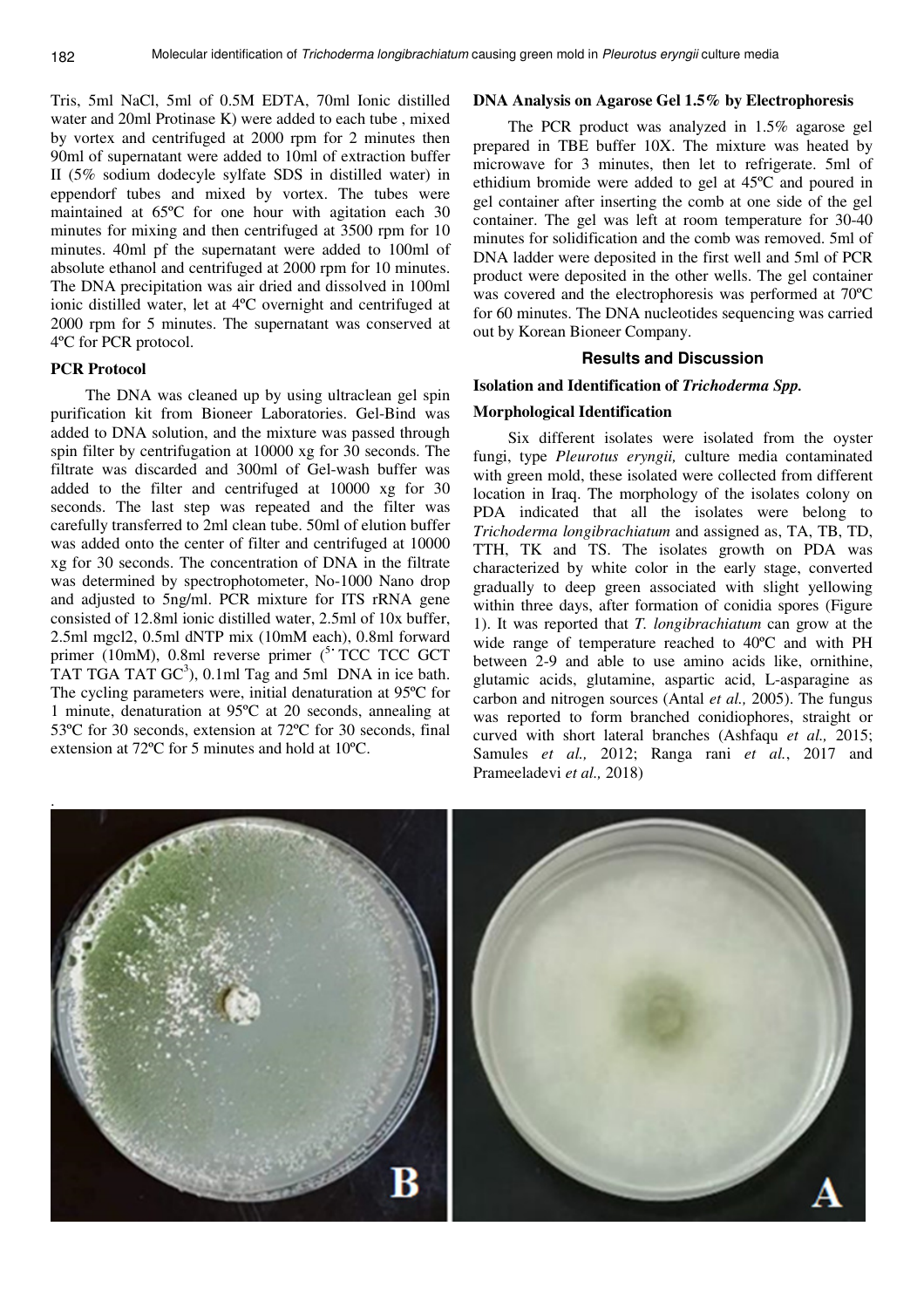Tris, 5ml NaCl, 5ml of 0.5M EDTA, 70ml Ionic distilled water and 20ml Protinase K) were added to each tube , mixed by vortex and centrifuged at 2000 rpm for 2 minutes then 90ml of supernatant were added to 10ml of extraction buffer II (5% sodium dodecyle sylfate SDS in distilled water) in eppendorf tubes and mixed by vortex. The tubes were maintained at 65ºC for one hour with agitation each 30 minutes for mixing and then centrifuged at 3500 rpm for 10 minutes. 40ml pf the supernatant were added to 100ml of absolute ethanol and centrifuged at 2000 rpm for 10 minutes. The DNA precipitation was air dried and dissolved in 100ml ionic distilled water, let at 4ºC overnight and centrifuged at 2000 rpm for 5 minutes. The supernatant was conserved at 4ºC for PCR protocol.

#### **PCR Protocol**

The DNA was cleaned up by using ultraclean gel spin purification kit from Bioneer Laboratories. Gel-Bind was added to DNA solution, and the mixture was passed through spin filter by centrifugation at 10000 xg for 30 seconds. The filtrate was discarded and 300ml of Gel-wash buffer was added to the filter and centrifuged at 10000 xg for 30 seconds. The last step was repeated and the filter was carefully transferred to 2ml clean tube. 50ml of elution buffer was added onto the center of filter and centrifuged at 10000 xg for 30 seconds. The concentration of DNA in the filtrate was determined by spectrophotometer, No-1000 Nano drop and adjusted to 5ng/ml. PCR mixture for ITS rRNA gene consisted of 12.8ml ionic distilled water, 2.5ml of 10x buffer, 2.5ml mgcl2, 0.5ml dNTP mix (10mM each), 0.8ml forward primer (10mM), 0.8ml reverse primer (<sup>5</sup> TCC TCC GCT TAT TGA TAT  $GC^3$ ), 0.1ml Tag and 5ml DNA in ice bath. The cycling parameters were, initial denaturation at 95ºC for 1 minute, denaturation at 95ºC at 20 seconds, annealing at 53ºC for 30 seconds, extension at 72ºC for 30 seconds, final extension at 72ºC for 5 minutes and hold at 10ºC.

# **DNA Analysis on Agarose Gel 1.5% by Electrophoresis**

The PCR product was analyzed in 1.5% agarose gel prepared in TBE buffer 10X. The mixture was heated by microwave for 3 minutes, then let to refrigerate. 5ml of ethidium bromide were added to gel at 45ºC and poured in gel container after inserting the comb at one side of the gel container. The gel was left at room temperature for 30-40 minutes for solidification and the comb was removed. 5ml of DNA ladder were deposited in the first well and 5ml of PCR product were deposited in the other wells. The gel container was covered and the electrophoresis was performed at 70ºC for 60 minutes. The DNA nucleotides sequencing was carried out by Korean Bioneer Company.

# **Results and Discussion**

## **Isolation and Identification of** *Trichoderma Spp.*

#### **Morphological Identification**

Six different isolates were isolated from the oyster fungi, type *Pleurotus eryngii,* culture media contaminated with green mold, these isolated were collected from different location in Iraq. The morphology of the isolates colony on PDA indicated that all the isolates were belong to *Trichoderma longibrachiatum* and assigned as, TA, TB, TD, TTH, TK and TS. The isolates growth on PDA was characterized by white color in the early stage, converted gradually to deep green associated with slight yellowing within three days, after formation of conidia spores (Figure 1). It was reported that *T. longibrachiatum* can grow at the wide range of temperature reached to 40ºC and with PH between 2-9 and able to use amino acids like, ornithine, glutamic acids, glutamine, aspartic acid, L-asparagine as carbon and nitrogen sources (Antal *et al.,* 2005). The fungus was reported to form branched conidiophores, straight or curved with short lateral branches (Ashfaqu *et al.,* 2015; Samules *et al.,* 2012; Ranga rani *et al.*, 2017 and Prameeladevi *et al.,* 2018)

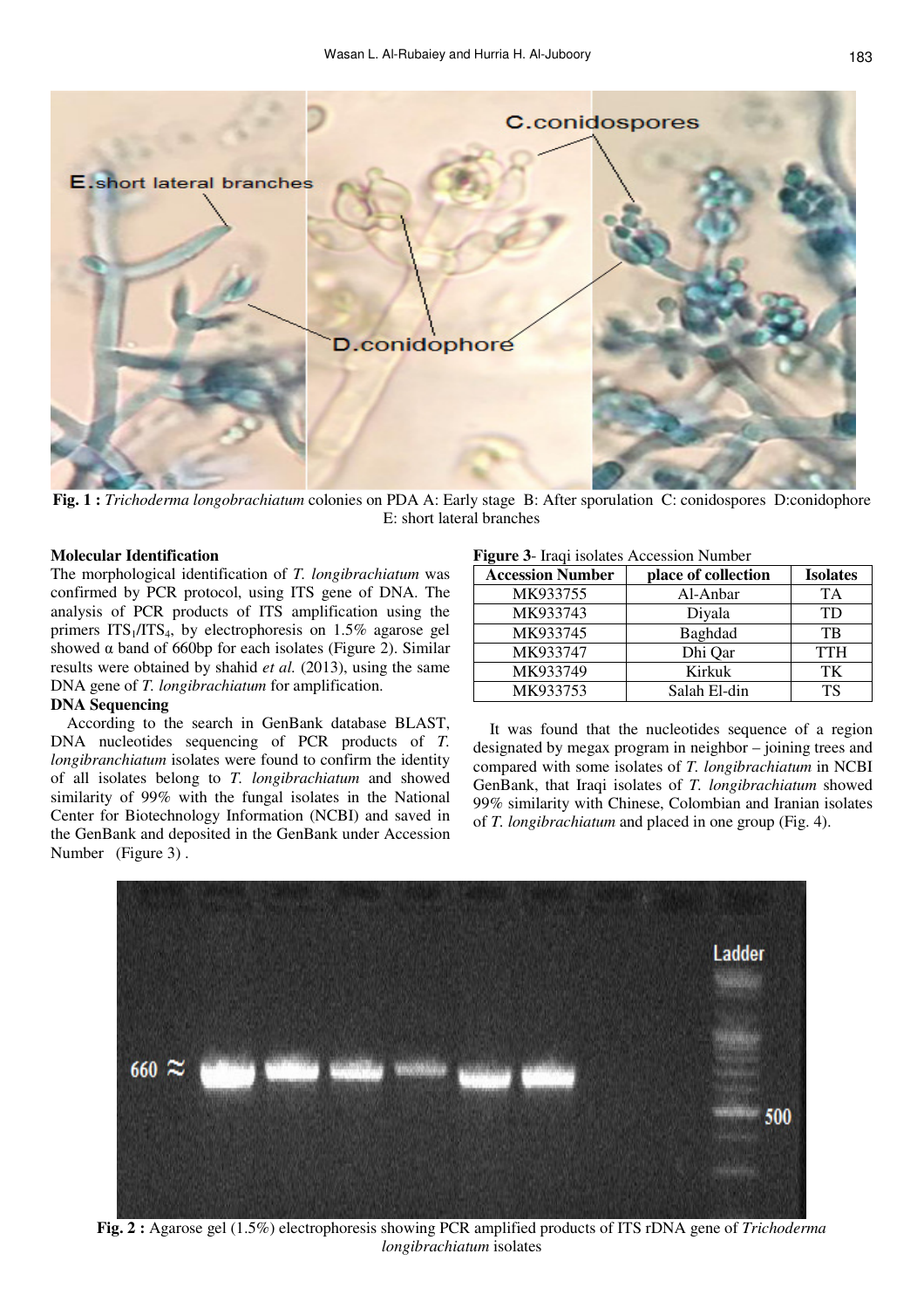

**Fig. 1 :** *Trichoderma longobrachiatum* colonies on PDA A: Early stage B: After sporulation C: conidospores D:conidophore E: short lateral branches

#### **Molecular Identification**

The morphological identification of *T. longibrachiatum* was confirmed by PCR protocol, using ITS gene of DNA. The analysis of PCR products of ITS amplification using the primers  $ITS<sub>1</sub>/ITS<sub>4</sub>$ , by electrophoresis on 1.5% agarose gel showed  $\alpha$  band of 660bp for each isolates (Figure 2). Similar results were obtained by shahid *et al.* (2013), using the same DNA gene of *T. longibrachiatum* for amplification.

### **DNA Sequencing**

 According to the search in GenBank database BLAST, DNA nucleotides sequencing of PCR products of *T. longibranchiatum* isolates were found to confirm the identity of all isolates belong to *T. longibrachiatum* and showed similarity of 99% with the fungal isolates in the National Center for Biotechnology Information (NCBI) and saved in the GenBank and deposited in the GenBank under Accession Number (Figure 3) .

#### **Figure 3**- Iraqi isolates Accession Number

| <b>Accession Number</b> | place of collection | <b>Isolates</b> |
|-------------------------|---------------------|-----------------|
| MK933755                | Al-Anbar            | <b>TA</b>       |
| MK933743                | Diyala              | <b>TD</b>       |
| MK933745                | Baghdad             | TB              |
| MK933747                | Dhi Qar             | <b>TTH</b>      |
| MK933749                | Kirkuk              | TK              |
| MK933753                | Salah El-din        | TS              |

 It was found that the nucleotides sequence of a region designated by megax program in neighbor – joining trees and compared with some isolates of *T. longibrachiatum* in NCBI GenBank, that Iraqi isolates of *T. longibrachiatum* showed 99% similarity with Chinese, Colombian and Iranian isolates of *T. longibrachiatum* and placed in one group (Fig. 4).



**Fig. 2 :** Agarose gel (1.5%) electrophoresis showing PCR amplified products of ITS rDNA gene of *Trichoderma longibrachiatum* isolates